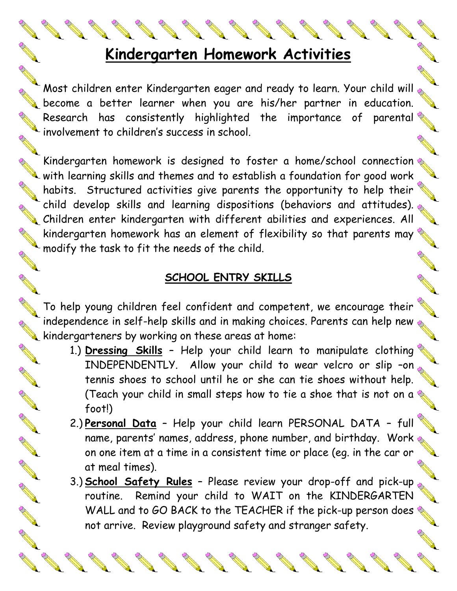# **Kindergarten Homework Activities**

Most children enter Kindergarten eager and ready to learn. Your child will become a better learner when you are his/her partner in education.  $\epsilon$  Most children enter Knowlys .... ...,<br>become a better learner when you are his/her partner in education.<br>Research has consistently highlighted the importance of parental Research has consistent,<br>involvement to children's success in school.

Kindergarten homework is designed to foster a home/school connection Windergarten nomework is ussigned is i.e....<br>Whith learning skills and themes and to establish a foundation for good work habits. Structured activities give parents the opportunity to help their child develop skills and learning dispositions (behaviors and attitudes). Children enter kindergarten with different abilities and experiences. All cring develop sinds and realing<br>Children enter kindergarten with different abilities and experiences. All<br>Relationships an element of flexibility so that parents may Relationships and the same of the single source of Kindergarten homework nus and seemed and the child.

# **SCHOOL ENTRY SKILLS**

To help young children feel confident and competent, we encourage their independence in self-help skills and in making choices. Parents can help new  $\frac{1}{\sqrt{2}}$ Indeperius in Service, 1997 Service areas at home:<br>Relationships areas at home:

A Carpenter

**ANTICOLLECTION** 

A Red

A REAL

A REA

AN RES

A Red

**ANTICOLOGICAL CONTENTION** 

**RANCISCO CONTROLLER** 

- 1.) **Dressing Skills** Help your child learn to manipulate clothing INDEPENDENTLY. Allow your child to wear velcro or slip -on tennis shoes to school until he or she can tie shoes without help. (Teach your child in small steps how to tie a shoe that is not on a  $\mathbb Q$ foot!)
- 2.) **Personal Data** Help your child learn PERSONAL DATA full name, parents' names, address, phone number, and birthday. Work  $\mathbb{Q}$ on one item at a time in a consistent time or place (eg. in the car or at meal times).
- 3.) **School Safety Rules** Please review your drop-off and pick-up routine. Remind your child to WAIT on the KINDERGARTEN WALL and to GO BACK to the TEACHER if the pick-up person does not arrive. Review playground safety and stranger safety.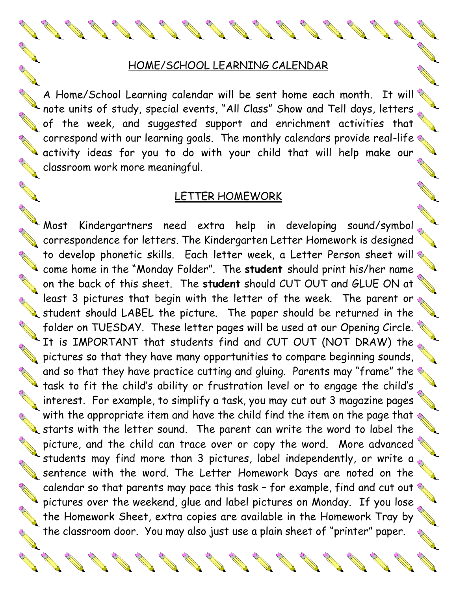#### HOME/SCHOOL LEARNING CALENDAR

A Home/School Learning calendar will be sent home each month. It will note units of study, special events, "All Class" Show and Tell days, letters  $_{\odot}$ of the week, and suggested support and enrichment activities that correspond with our learning goals. The monthly calendars provide real-life  $\&$ Lactivity ideas for you to do with your child that will help make our classroom work more meaningful.

#### LETTER HOMEWORK

Most Kindergartners need extra help in developing sound/symbol correspondence for letters. The Kindergarten Letter Homework is designed to develop phonetic skills. Each letter week, a Letter Person sheet will come home in the "Monday Folder". The **student** should print his/her name on the back of this sheet. The **student** should CUT OUT and GLUE ON at least 3 pictures that begin with the letter of the week. The parent or  $\frac{1}{\sqrt{2}}$ student should LABEL the picture. The paper should be returned in the folder on TUESDAY. These letter pages will be used at our Opening Circle.  $\blacklozenge$  It is IMPORTANT that students find and CUT OUT (NOT DRAW) the  $\mathbb{R}$ pictures so that they have many opportunities to compare beginning sounds, and so that they have practice cutting and gluing. Parents may "frame" the task to fit the child's ability or frustration level or to engage the child's interest. For example, to simplify a task, you may cut out 3 magazine pages with the appropriate item and have the child find the item on the page that  $\Diamond$ with the appropriate tiem and have the sound. The parent can write the word to label the picture, and the child can trace over or copy the word. More advanced students may find more than 3 pictures, label independently, or write a  $_{\tiny \diamondsuit}$ sinuality this means were community to the Letter Homework Days are noted on the calendar so that parents may pace this task - for example, find and cut out  $\Diamond$  $\blacktriangle$  pictures over the weekend, glue and label pictures on Monday. If you lose  $\mathcal{L}_s$ the Homework Sheet, extra copies are available in the Homework Tray by the classroom door. You may also just use a plain sheet of "printer" paper.